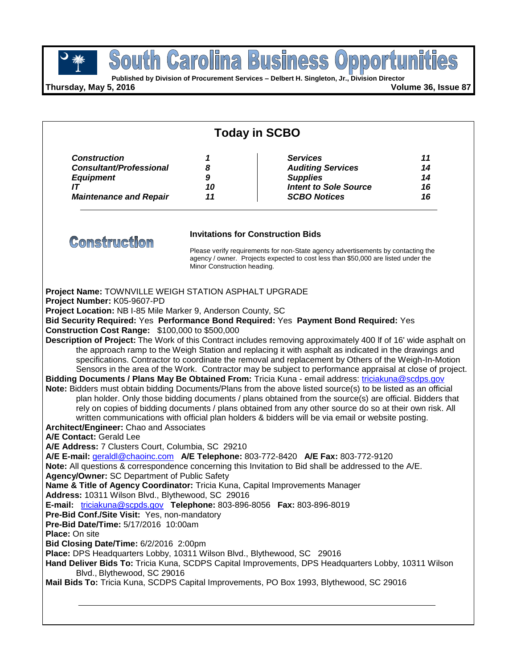

**Published by Division of Procurement Services – Delbert H. Singleton, Jr., Division Director**

**Thursday, May 5, 2016 Volume 36, Issue 87**

| <b>Today in SCBO</b>                                                                                                                                                                                                                                                                                                                                                                                                                                                                                                                                                                                                                                                                                                                                                                                                                                                           |                             |                                                                                                                                                                                                                                                                                                                                                                                                                                                                                                                                                                                                                                                                                                                                                                                                                                                                                                                                                                                                                                                                                                                                                                                                                                                                                                                                                                                                                                                                                          |                            |
|--------------------------------------------------------------------------------------------------------------------------------------------------------------------------------------------------------------------------------------------------------------------------------------------------------------------------------------------------------------------------------------------------------------------------------------------------------------------------------------------------------------------------------------------------------------------------------------------------------------------------------------------------------------------------------------------------------------------------------------------------------------------------------------------------------------------------------------------------------------------------------|-----------------------------|------------------------------------------------------------------------------------------------------------------------------------------------------------------------------------------------------------------------------------------------------------------------------------------------------------------------------------------------------------------------------------------------------------------------------------------------------------------------------------------------------------------------------------------------------------------------------------------------------------------------------------------------------------------------------------------------------------------------------------------------------------------------------------------------------------------------------------------------------------------------------------------------------------------------------------------------------------------------------------------------------------------------------------------------------------------------------------------------------------------------------------------------------------------------------------------------------------------------------------------------------------------------------------------------------------------------------------------------------------------------------------------------------------------------------------------------------------------------------------------|----------------------------|
| <b>Construction</b><br><b>Consultant/Professional</b><br><b>Equipment</b><br>IT<br><b>Maintenance and Repair</b>                                                                                                                                                                                                                                                                                                                                                                                                                                                                                                                                                                                                                                                                                                                                                               | 1<br>8<br>9<br>10<br>11     | <b>Services</b><br><b>Auditing Services</b><br><b>Supplies</b><br><b>Intent to Sole Source</b><br><b>SCBO Notices</b>                                                                                                                                                                                                                                                                                                                                                                                                                                                                                                                                                                                                                                                                                                                                                                                                                                                                                                                                                                                                                                                                                                                                                                                                                                                                                                                                                                    | 11<br>14<br>14<br>16<br>16 |
| <b>Construction</b>                                                                                                                                                                                                                                                                                                                                                                                                                                                                                                                                                                                                                                                                                                                                                                                                                                                            | Minor Construction heading. | <b>Invitations for Construction Bids</b><br>Please verify requirements for non-State agency advertisements by contacting the<br>agency / owner. Projects expected to cost less than \$50,000 are listed under the                                                                                                                                                                                                                                                                                                                                                                                                                                                                                                                                                                                                                                                                                                                                                                                                                                                                                                                                                                                                                                                                                                                                                                                                                                                                        |                            |
| Project Name: TOWNVILLE WEIGH STATION ASPHALT UPGRADE<br>Project Number: K05-9607-PD<br>Project Location: NB I-85 Mile Marker 9, Anderson County, SC<br><b>Construction Cost Range: \$100,000 to \$500,000</b><br>Architect/Engineer: Chao and Associates<br>A/E Contact: Gerald Lee<br>A/E Address: 7 Clusters Court, Columbia, SC 29210<br>Agency/Owner: SC Department of Public Safety<br>Name & Title of Agency Coordinator: Tricia Kuna, Capital Improvements Manager<br>Address: 10311 Wilson Blvd., Blythewood, SC 29016<br>E-mail: triciakuna@scpds.gov Telephone: 803-896-8056 Fax: 803-896-8019<br>Pre-Bid Conf./Site Visit: Yes, non-mandatory<br>Pre-Bid Date/Time: 5/17/2016 10:00am<br><b>Place: On site</b><br>Bid Closing Date/Time: 6/2/2016 2:00pm<br>Place: DPS Headquarters Lobby, 10311 Wilson Blvd., Blythewood, SC 29016<br>Blvd., Blythewood, SC 29016 |                             | Bid Security Required: Yes Performance Bond Required: Yes Payment Bond Required: Yes<br>Description of Project: The Work of this Contract includes removing approximately 400 If of 16' wide asphalt on<br>the approach ramp to the Weigh Station and replacing it with asphalt as indicated in the drawings and<br>specifications. Contractor to coordinate the removal and replacement by Others of the Weigh-In-Motion<br>Sensors in the area of the Work. Contractor may be subject to performance appraisal at close of project.<br>Bidding Documents / Plans May Be Obtained From: Tricia Kuna - email address: triciakuna@scdps.gov<br>Note: Bidders must obtain bidding Documents/Plans from the above listed source(s) to be listed as an official<br>plan holder. Only those bidding documents / plans obtained from the source(s) are official. Bidders that<br>rely on copies of bidding documents / plans obtained from any other source do so at their own risk. All<br>written communications with official plan holders & bidders will be via email or website posting.<br>A/E E-mail: geraldl@chaoinc.com A/E Telephone: 803-772-8420 A/E Fax: 803-772-9120<br>Note: All questions & correspondence concerning this Invitation to Bid shall be addressed to the A/E.<br>Hand Deliver Bids To: Tricia Kuna, SCDPS Capital Improvements, DPS Headquarters Lobby, 10311 Wilson<br>Mail Bids To: Tricia Kuna, SCDPS Capital Improvements, PO Box 1993, Blythewood, SC 29016 |                            |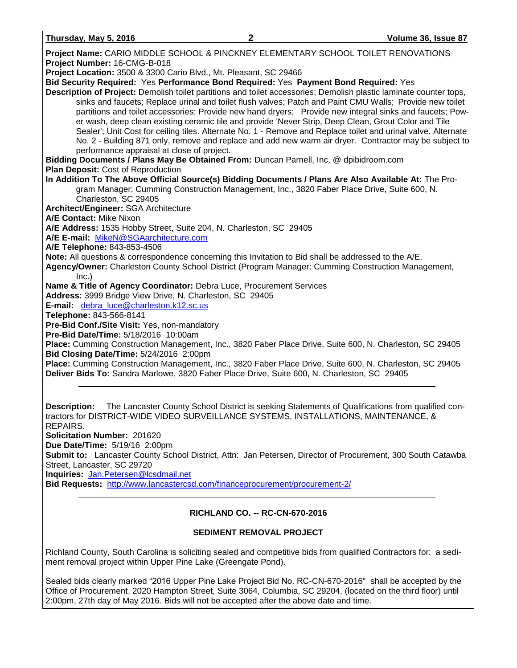**Thursday, May 5, 2016 2 Volume 36, Issue 87**

| Project Name: CARIO MIDDLE SCHOOL & PINCKNEY ELEMENTARY SCHOOL TOILET RENOVATIONS                                       |
|-------------------------------------------------------------------------------------------------------------------------|
| Project Number: 16-CMG-B-018                                                                                            |
| Project Location: 3500 & 3300 Cario Blvd., Mt. Pleasant, SC 29466                                                       |
| Bid Security Required: Yes Performance Bond Required: Yes Payment Bond Required: Yes                                    |
| Description of Project: Demolish toilet partitions and toilet accessories; Demolish plastic laminate counter tops,      |
| sinks and faucets; Replace urinal and toilet flush valves; Patch and Paint CMU Walls; Provide new toilet                |
| partitions and toilet accessories; Provide new hand dryers; Provide new integral sinks and faucets; Pow-                |
| er wash, deep clean existing ceramic tile and provide 'Never Strip, Deep Clean, Grout Color and Tile                    |
| Sealer'; Unit Cost for ceiling tiles. Alternate No. 1 - Remove and Replace toilet and urinal valve. Alternate           |
| No. 2 - Building 871 only, remove and replace and add new warm air dryer. Contractor may be subject to                  |
| performance appraisal at close of project.                                                                              |
| Bidding Documents / Plans May Be Obtained From: Duncan Parnell, Inc. @ dpibidroom.com                                   |
| Plan Deposit: Cost of Reproduction                                                                                      |
| In Addition To The Above Official Source(s) Bidding Documents / Plans Are Also Available At: The Pro-                   |
| gram Manager: Cumming Construction Management, Inc., 3820 Faber Place Drive, Suite 600, N.                              |
| Charleston, SC 29405                                                                                                    |
| Architect/Engineer: SGA Architecture                                                                                    |
| A/E Contact: Mike Nixon                                                                                                 |
| A/E Address: 1535 Hobby Street, Suite 204, N. Charleston, SC 29405                                                      |
| A/E E-mail: MikeN@SGAarchitecture.com                                                                                   |
| A/E Telephone: 843-853-4506                                                                                             |
| Note: All questions & correspondence concerning this Invitation to Bid shall be addressed to the A/E.                   |
| Agency/Owner: Charleston County School District (Program Manager: Cumming Construction Management,                      |
| Inc.)                                                                                                                   |
| Name & Title of Agency Coordinator: Debra Luce, Procurement Services                                                    |
| Address: 3999 Bridge View Drive, N. Charleston, SC 29405                                                                |
| E-mail: debra_luce@charleston.k12.sc.us                                                                                 |
| Telephone: 843-566-8141                                                                                                 |
| Pre-Bid Conf./Site Visit: Yes, non-mandatory<br>Pre-Bid Date/Time: 5/18/2016 10:00am                                    |
| Place: Cumming Construction Management, Inc., 3820 Faber Place Drive, Suite 600, N. Charleston, SC 29405                |
| Bid Closing Date/Time: 5/24/2016 2:00pm                                                                                 |
| Place: Cumming Construction Management, Inc., 3820 Faber Place Drive, Suite 600, N. Charleston, SC 29405                |
| Deliver Bids To: Sandra Marlowe, 3820 Faber Place Drive, Suite 600, N. Charleston, SC 29405                             |
|                                                                                                                         |
|                                                                                                                         |
|                                                                                                                         |
| The Lancaster County School District is seeking Statements of Qualifications from qualified con-<br><b>Description:</b> |
| tractors for DISTRICT-WIDE VIDEO SURVEILLANCE SYSTEMS, INSTALLATIONS, MAINTENANCE, &                                    |

REPAIRS.

**Solicitation Number:** 201620

**Due Date/Time:** 5/19/16 2:00pm

**Submit to:** Lancaster County School District, Attn: Jan Petersen, Director of Procurement, 300 South Catawba Street, Lancaster, SC 29720

**Inquiries:** [Jan.Petersen@lcsdmail.net](mailto:Jan.Petersen@lcsdmail.net)

**Bid Requests:** <http://www.lancastercsd.com/financeprocurement/procurement-2/>

# **RICHLAND CO. -- RC-CN-670-2016**

# **SEDIMENT REMOVAL PROJECT**

Richland County, South Carolina is soliciting sealed and competitive bids from qualified Contractors for: a sediment removal project within Upper Pine Lake (Greengate Pond).

Sealed bids clearly marked "2016 Upper Pine Lake Project Bid No. RC-CN-670-2016" shall be accepted by the Office of Procurement, 2020 Hampton Street, Suite 3064, Columbia, SC 29204, (located on the third floor) until 2:00pm, 27th day of May 2016. Bids will not be accepted after the above date and time.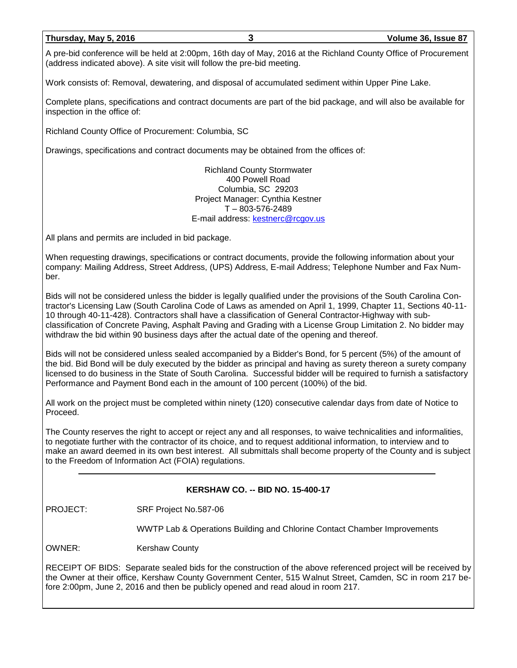## **Thursday, May 5, 2016 3 Volume 36, Issue 87**

A pre-bid conference will be held at 2:00pm, 16th day of May, 2016 at the Richland County Office of Procurement (address indicated above). A site visit will follow the pre-bid meeting.

Work consists of: Removal, dewatering, and disposal of accumulated sediment within Upper Pine Lake.

Complete plans, specifications and contract documents are part of the bid package, and will also be available for inspection in the office of:

Richland County Office of Procurement: Columbia, SC

Drawings, specifications and contract documents may be obtained from the offices of:

Richland County Stormwater 400 Powell Road Columbia, SC 29203 Project Manager: Cynthia Kestner T – 803-576-2489 E-mail address: [kestnerc@rcgov.us](mailto:kestnerc@rcgov.us)

All plans and permits are included in bid package.

When requesting drawings, specifications or contract documents, provide the following information about your company: Mailing Address, Street Address, (UPS) Address, E-mail Address; Telephone Number and Fax Number.

Bids will not be considered unless the bidder is legally qualified under the provisions of the South Carolina Contractor's Licensing Law (South Carolina Code of Laws as amended on April 1, 1999, Chapter 11, Sections 40-11- 10 through 40-11-428). Contractors shall have a classification of General Contractor-Highway with subclassification of Concrete Paving, Asphalt Paving and Grading with a License Group Limitation 2. No bidder may withdraw the bid within 90 business days after the actual date of the opening and thereof.

Bids will not be considered unless sealed accompanied by a Bidder's Bond, for 5 percent (5%) of the amount of the bid. Bid Bond will be duly executed by the bidder as principal and having as surety thereon a surety company licensed to do business in the State of South Carolina. Successful bidder will be required to furnish a satisfactory Performance and Payment Bond each in the amount of 100 percent (100%) of the bid.

All work on the project must be completed within ninety (120) consecutive calendar days from date of Notice to Proceed.

The County reserves the right to accept or reject any and all responses, to waive technicalities and informalities, to negotiate further with the contractor of its choice, and to request additional information, to interview and to make an award deemed in its own best interest. All submittals shall become property of the County and is subject to the Freedom of Information Act (FOIA) regulations.

# **KERSHAW CO. -- BID NO. 15-400-17**

PROJECT: SRF Project No.587-06

WWTP Lab & Operations Building and Chlorine Contact Chamber Improvements

OWNER: Kershaw County

RECEIPT OF BIDS: Separate sealed bids for the construction of the above referenced project will be received by the Owner at their office, Kershaw County Government Center, 515 Walnut Street, Camden, SC in room 217 before 2:00pm, June 2, 2016 and then be publicly opened and read aloud in room 217.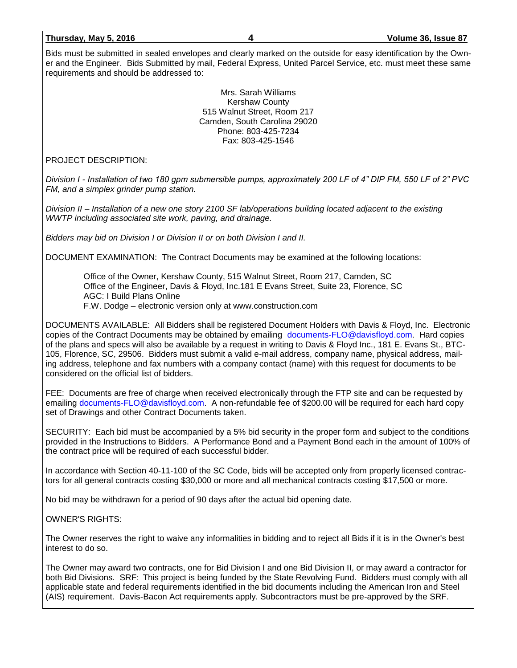**Thursday, May 5, 2016 4 Volume 36, Issue 87**

Bids must be submitted in sealed envelopes and clearly marked on the outside for easy identification by the Owner and the Engineer. Bids Submitted by mail, Federal Express, United Parcel Service, etc. must meet these same requirements and should be addressed to:

> Mrs. Sarah Williams Kershaw County 515 Walnut Street, Room 217 Camden, South Carolina 29020 Phone: 803-425-7234 Fax: 803-425-1546

PROJECT DESCRIPTION:

*Division I - Installation of two 180 gpm submersible pumps, approximately 200 LF of 4" DIP FM, 550 LF of 2" PVC FM, and a simplex grinder pump station.*

*Division II – Installation of a new one story 2100 SF lab/operations building located adjacent to the existing WWTP including associated site work, paving, and drainage.*

*Bidders may bid on Division I or Division II or on both Division I and II.*

DOCUMENT EXAMINATION: The Contract Documents may be examined at the following locations:

Office of the Owner, Kershaw County, 515 Walnut Street, Room 217, Camden, SC Office of the Engineer, Davis & Floyd, Inc.181 E Evans Street, Suite 23, Florence, SC AGC: I Build Plans Online F.W. Dodge – electronic version only at www.construction.com

DOCUMENTS AVAILABLE: All Bidders shall be registered Document Holders with Davis & Floyd, Inc. Electronic copies of the Contract Documents may be obtained by emailing [documents-FLO@davisfloyd.com.](mailto:documents-FLO@davisfloyd.com) Hard copies of the plans and specs will also be available by a request in writing to Davis & Floyd Inc., 181 E. Evans St., BTC-105, Florence, SC, 29506. Bidders must submit a valid e-mail address, company name, physical address, mailing address, telephone and fax numbers with a company contact (name) with this request for documents to be considered on the official list of bidders.

FEE: Documents are free of charge when received electronically through the FTP site and can be requested by emailing [documents-FLO@davisfloyd.com.](mailto:documents-FLO@davisfloyd.com) A non-refundable fee of \$200.00 will be required for each hard copy set of Drawings and other Contract Documents taken.

SECURITY: Each bid must be accompanied by a 5% bid security in the proper form and subject to the conditions provided in the Instructions to Bidders. A Performance Bond and a Payment Bond each in the amount of 100% of the contract price will be required of each successful bidder.

In accordance with Section 40-11-100 of the SC Code, bids will be accepted only from properly licensed contractors for all general contracts costing \$30,000 or more and all mechanical contracts costing \$17,500 or more.

No bid may be withdrawn for a period of 90 days after the actual bid opening date.

# OWNER'S RIGHTS:

The Owner reserves the right to waive any informalities in bidding and to reject all Bids if it is in the Owner's best interest to do so.

The Owner may award two contracts, one for Bid Division I and one Bid Division II, or may award a contractor for both Bid Divisions. SRF: This project is being funded by the State Revolving Fund. Bidders must comply with all applicable state and federal requirements identified in the bid documents including the American Iron and Steel (AIS) requirement. Davis-Bacon Act requirements apply. Subcontractors must be pre-approved by the SRF.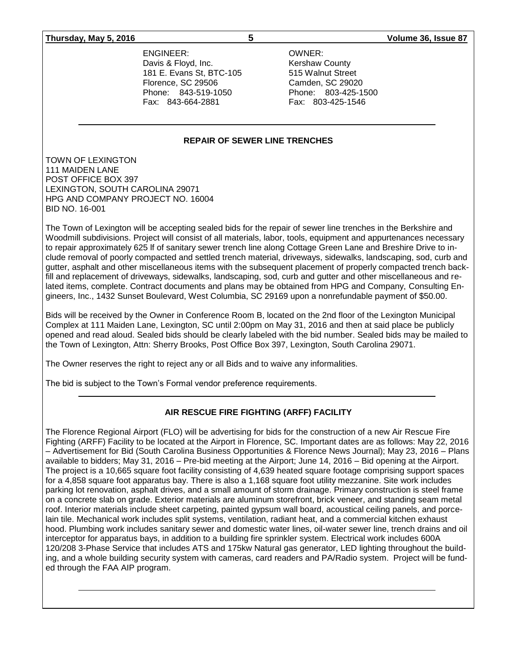### **Thursday, May 5, 2016 5 Volume 36, Issue 87**

ENGINEER: OWNER: Davis & Floyd, Inc. The County Research Research Research Research Research Research Research Research Research 181 E. Evans St, BTC-105 515 Walnut Street Florence, SC 29506 Camden, SC 29020 Phone: 843-519-1050 Phone: 803-425-1500 Fax: 843-664-2881 Fax: 803-425-1546

### **REPAIR OF SEWER LINE TRENCHES**

TOWN OF LEXINGTON 111 MAIDEN LANE POST OFFICE BOX 397 LEXINGTON, SOUTH CAROLINA 29071 HPG AND COMPANY PROJECT NO. 16004 BID NO. 16-001

The Town of Lexington will be accepting sealed bids for the repair of sewer line trenches in the Berkshire and Woodmill subdivisions. Project will consist of all materials, labor, tools, equipment and appurtenances necessary to repair approximately 625 lf of sanitary sewer trench line along Cottage Green Lane and Breshire Drive to include removal of poorly compacted and settled trench material, driveways, sidewalks, landscaping, sod, curb and gutter, asphalt and other miscellaneous items with the subsequent placement of properly compacted trench backfill and replacement of driveways, sidewalks, landscaping, sod, curb and gutter and other miscellaneous and related items, complete. Contract documents and plans may be obtained from HPG and Company, Consulting Engineers, Inc., 1432 Sunset Boulevard, West Columbia, SC 29169 upon a nonrefundable payment of \$50.00.

Bids will be received by the Owner in Conference Room B, located on the 2nd floor of the Lexington Municipal Complex at 111 Maiden Lane, Lexington, SC until 2:00pm on May 31, 2016 and then at said place be publicly opened and read aloud. Sealed bids should be clearly labeled with the bid number. Sealed bids may be mailed to the Town of Lexington, Attn: Sherry Brooks, Post Office Box 397, Lexington, South Carolina 29071.

The Owner reserves the right to reject any or all Bids and to waive any informalities.

The bid is subject to the Town's Formal vendor preference requirements.

# **AIR RESCUE FIRE FIGHTING (ARFF) FACILITY**

The Florence Regional Airport (FLO) will be advertising for bids for the construction of a new Air Rescue Fire Fighting (ARFF) Facility to be located at the Airport in Florence, SC. Important dates are as follows: May 22, 2016 – Advertisement for Bid (South Carolina Business Opportunities & Florence News Journal); May 23, 2016 – Plans available to bidders; May 31, 2016 – Pre-bid meeting at the Airport; June 14, 2016 – Bid opening at the Airport. The project is a 10,665 square foot facility consisting of 4,639 heated square footage comprising support spaces for a 4,858 square foot apparatus bay. There is also a 1,168 square foot utility mezzanine. Site work includes parking lot renovation, asphalt drives, and a small amount of storm drainage. Primary construction is steel frame on a concrete slab on grade. Exterior materials are aluminum storefront, brick veneer, and standing seam metal roof. Interior materials include sheet carpeting, painted gypsum wall board, acoustical ceiling panels, and porcelain tile. Mechanical work includes split systems, ventilation, radiant heat, and a commercial kitchen exhaust hood. Plumbing work includes sanitary sewer and domestic water lines, oil-water sewer line, trench drains and oil interceptor for apparatus bays, in addition to a building fire sprinkler system. Electrical work includes 600A 120/208 3-Phase Service that includes ATS and 175kw Natural gas generator, LED lighting throughout the building, and a whole building security system with cameras, card readers and PA/Radio system. Project will be funded through the FAA AIP program.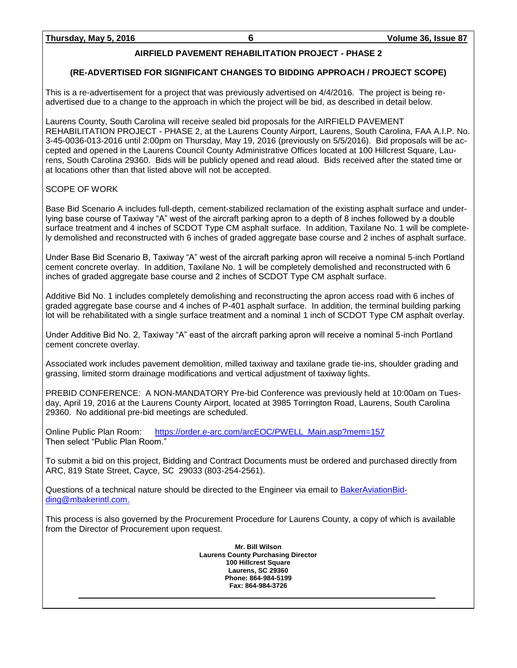# **AIRFIELD PAVEMENT REHABILITATION PROJECT - PHASE 2**

# **(RE-ADVERTISED FOR SIGNIFICANT CHANGES TO BIDDING APPROACH / PROJECT SCOPE)**

This is a re-advertisement for a project that was previously advertised on 4/4/2016. The project is being readvertised due to a change to the approach in which the project will be bid, as described in detail below.

Laurens County, South Carolina will receive sealed bid proposals for the AIRFIELD PAVEMENT REHABILITATION PROJECT - PHASE 2, at the Laurens County Airport, Laurens, South Carolina, FAA A.I.P. No. 3-45-0036-013-2016 until 2:00pm on Thursday, May 19, 2016 (previously on 5/5/2016). Bid proposals will be accepted and opened in the Laurens Council County Administrative Offices located at 100 Hillcrest Square, Laurens, South Carolina 29360. Bids will be publicly opened and read aloud. Bids received after the stated time or at locations other than that listed above will not be accepted.

# SCOPE OF WORK

Base Bid Scenario A includes full-depth, cement-stabilized reclamation of the existing asphalt surface and underlying base course of Taxiway "A" west of the aircraft parking apron to a depth of 8 inches followed by a double surface treatment and 4 inches of SCDOT Type CM asphalt surface. In addition, Taxilane No. 1 will be completely demolished and reconstructed with 6 inches of graded aggregate base course and 2 inches of asphalt surface.

Under Base Bid Scenario B, Taxiway "A" west of the aircraft parking apron will receive a nominal 5-inch Portland cement concrete overlay. In addition, Taxilane No. 1 will be completely demolished and reconstructed with 6 inches of graded aggregate base course and 2 inches of SCDOT Type CM asphalt surface.

Additive Bid No. 1 includes completely demolishing and reconstructing the apron access road with 6 inches of graded aggregate base course and 4 inches of P-401 asphalt surface. In addition, the terminal building parking lot will be rehabilitated with a single surface treatment and a nominal 1 inch of SCDOT Type CM asphalt overlay.

Under Additive Bid No. 2, Taxiway "A" east of the aircraft parking apron will receive a nominal 5-inch Portland cement concrete overlay.

Associated work includes pavement demolition, milled taxiway and taxilane grade tie-ins, shoulder grading and grassing, limited storm drainage modifications and vertical adjustment of taxiway lights.

PREBID CONFERENCE: A NON-MANDATORY Pre-bid Conference was previously held at 10:00am on Tuesday, April 19, 2016 at the Laurens County Airport, located at 3985 Torrington Road, Laurens, South Carolina 29360. No additional pre-bid meetings are scheduled.

Online Public Plan Room: [https://order.e-arc.com/arcEOC/PWELL\\_Main.asp?mem=157](https://order.e-arc.com/arcEOC/PWELL_Main.asp?mem=157) Then select "Public Plan Room."

To submit a bid on this project, Bidding and Contract Documents must be ordered and purchased directly from ARC, 819 State Street, Cayce, SC 29033 (803-254-2561).

Questions of a technical nature should be directed to the Engineer via email to [BakerAviationBid](mailto:BakerAviationBidding@mbakerintl.com)[ding@mbakerintl.com.](mailto:BakerAviationBidding@mbakerintl.com)

This process is also governed by the Procurement Procedure for Laurens County, a copy of which is available from the Director of Procurement upon request.

> **Mr. Bill Wilson Laurens County Purchasing Director 100 Hillcrest Square Laurens, SC 29360 Phone: 864-984-5199 Fax: 864-984-3726**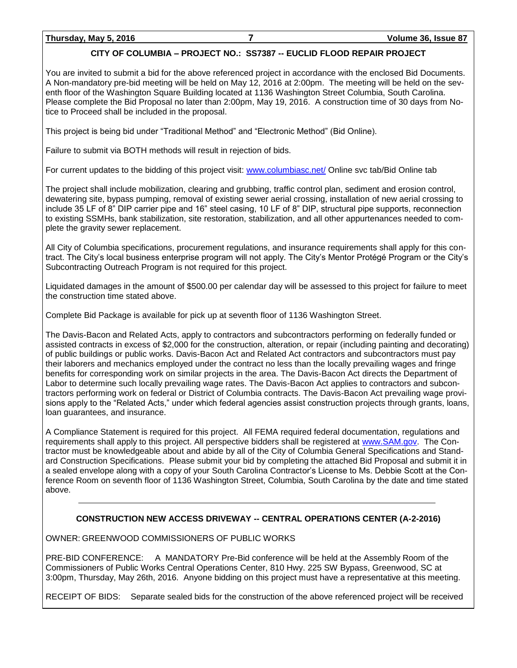# **CITY OF COLUMBIA – PROJECT NO.: SS7387 -- EUCLID FLOOD REPAIR PROJECT**

You are invited to submit a bid for the above referenced project in accordance with the enclosed Bid Documents. A Non-mandatory pre-bid meeting will be held on May 12, 2016 at 2:00pm. The meeting will be held on the seventh floor of the Washington Square Building located at 1136 Washington Street Columbia, South Carolina. Please complete the Bid Proposal no later than 2:00pm, May 19, 2016. A construction time of 30 days from Notice to Proceed shall be included in the proposal.

This project is being bid under "Traditional Method" and "Electronic Method" (Bid Online).

Failure to submit via BOTH methods will result in rejection of bids.

For current updates to the bidding of this project visit: [www.columbiasc.net/](http://www.columbiasc.net/) Online svc tab/Bid Online tab

The project shall include mobilization, clearing and grubbing, traffic control plan, sediment and erosion control, dewatering site, bypass pumping, removal of existing sewer aerial crossing, installation of new aerial crossing to include 35 LF of 8" DIP carrier pipe and 16" steel casing, 10 LF of 8" DIP, structural pipe supports, reconnection to existing SSMHs, bank stabilization, site restoration, stabilization, and all other appurtenances needed to complete the gravity sewer replacement.

All City of Columbia specifications, procurement regulations, and insurance requirements shall apply for this contract. The City's local business enterprise program will not apply. The City's Mentor Protégé Program or the City's Subcontracting Outreach Program is not required for this project.

Liquidated damages in the amount of \$500.00 per calendar day will be assessed to this project for failure to meet the construction time stated above.

Complete Bid Package is available for pick up at seventh floor of 1136 Washington Street.

The Davis-Bacon and Related Acts, apply to contractors and subcontractors performing on federally funded or assisted contracts in excess of \$2,000 for the construction, alteration, or repair (including painting and decorating) of public buildings or public works. Davis-Bacon Act and Related Act contractors and subcontractors must pay their laborers and mechanics employed under the contract no less than the locally prevailing wages and fringe benefits for corresponding work on similar projects in the area. The Davis-Bacon Act directs the Department of Labor to determine such locally prevailing wage rates. The Davis-Bacon Act applies to contractors and subcontractors performing work on federal or District of Columbia contracts. The Davis-Bacon Act prevailing wage provisions apply to the "Related Acts," under which federal agencies assist construction projects through grants, loans, loan guarantees, and insurance.

A Compliance Statement is required for this project. All FEMA required federal documentation, regulations and requirements shall apply to this project. All perspective bidders shall be registered at [www.SAM.gov.](http://www.sam.gov/) The Contractor must be knowledgeable about and abide by all of the City of Columbia General Specifications and Standard Construction Specifications. Please submit your bid by completing the attached Bid Proposal and submit it in a sealed envelope along with a copy of your South Carolina Contractor's License to Ms. Debbie Scott at the Conference Room on seventh floor of 1136 Washington Street, Columbia, South Carolina by the date and time stated above.

# **CONSTRUCTION NEW ACCESS DRIVEWAY -- CENTRAL OPERATIONS CENTER (A-2-2016)**

OWNER: GREENWOOD COMMISSIONERS OF PUBLIC WORKS

PRE-BID CONFERENCE: A MANDATORY Pre-Bid conference will be held at the Assembly Room of the Commissioners of Public Works Central Operations Center, 810 Hwy. 225 SW Bypass, Greenwood, SC at 3:00pm, Thursday, May 26th, 2016. Anyone bidding on this project must have a representative at this meeting.

RECEIPT OF BIDS: Separate sealed bids for the construction of the above referenced project will be received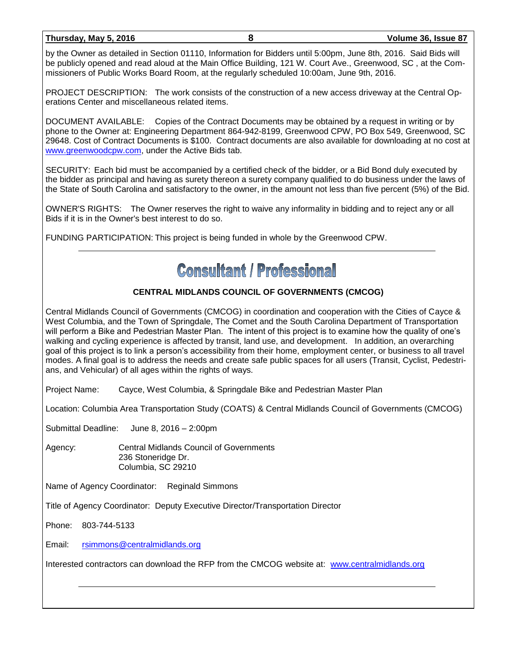## **Thursday, May 5, 2016 8 Volume 36, Issue 87**

by the Owner as detailed in Section 01110, Information for Bidders until 5:00pm, June 8th, 2016. Said Bids will be publicly opened and read aloud at the Main Office Building, 121 W. Court Ave., Greenwood, SC , at the Commissioners of Public Works Board Room, at the regularly scheduled 10:00am, June 9th, 2016.

PROJECT DESCRIPTION: The work consists of the construction of a new access driveway at the Central Operations Center and miscellaneous related items.

DOCUMENT AVAILABLE: Copies of the Contract Documents may be obtained by a request in writing or by phone to the Owner at: Engineering Department 864-942-8199, Greenwood CPW, PO Box 549, Greenwood, SC 29648. Cost of Contract Documents is \$100. Contract documents are also available for downloading at no cost at [www.greenwoodcpw.com,](http://www.greenwoodcpw.com/) under the Active Bids tab.

SECURITY: Each bid must be accompanied by a certified check of the bidder, or a Bid Bond duly executed by the bidder as principal and having as surety thereon a surety company qualified to do business under the laws of the State of South Carolina and satisfactory to the owner, in the amount not less than five percent (5%) of the Bid.

OWNER'S RIGHTS: The Owner reserves the right to waive any informality in bidding and to reject any or all Bids if it is in the Owner's best interest to do so.

FUNDING PARTICIPATION: This project is being funded in whole by the Greenwood CPW.

# **Consultant / Professional**

# **CENTRAL MIDLANDS COUNCIL OF GOVERNMENTS (CMCOG)**

Central Midlands Council of Governments (CMCOG) in coordination and cooperation with the Cities of Cayce & West Columbia, and the Town of Springdale, The Comet and the South Carolina Department of Transportation will perform a Bike and Pedestrian Master Plan. The intent of this project is to examine how the quality of one's walking and cycling experience is affected by transit, land use, and development. In addition, an overarching goal of this project is to link a person's accessibility from their home, employment center, or business to all travel modes. A final goal is to address the needs and create safe public spaces for all users (Transit, Cyclist, Pedestrians, and Vehicular) of all ages within the rights of ways.

Project Name: Cayce, West Columbia, & Springdale Bike and Pedestrian Master Plan

Location: Columbia Area Transportation Study (COATS) & Central Midlands Council of Governments (CMCOG)

Submittal Deadline: June 8, 2016 – 2:00pm

Agency: Central Midlands Council of Governments 236 Stoneridge Dr. Columbia, SC 29210

Name of Agency Coordinator: Reginald Simmons

Title of Agency Coordinator: Deputy Executive Director/Transportation Director

Phone: 803-744-5133

Email: [rsimmons@centralmidlands.org](mailto:rsimmons@centralmidlands.org)

Interested contractors can download the RFP from the CMCOG website at: [www.centralmidlands.org](http://www.centralmidlands.org/)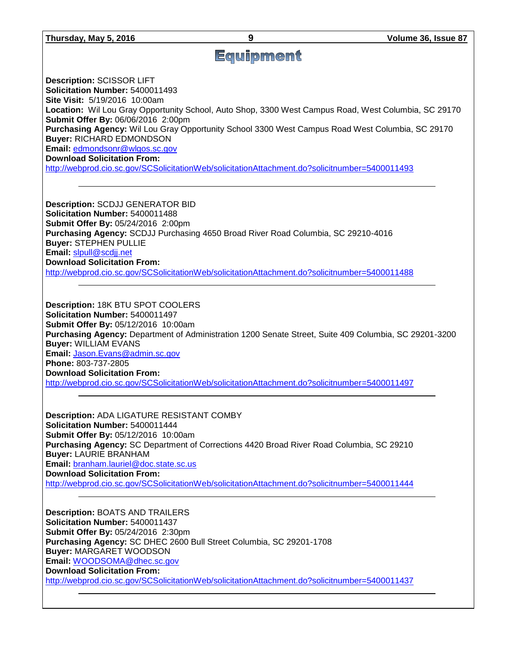# Equipment

**Description:** SCISSOR LIFT **Solicitation Number:** 5400011493 **Site Visit:** 5/19/2016 10:00am **Location:** Wil Lou Gray Opportunity School, Auto Shop, 3300 West Campus Road, West Columbia, SC 29170 **Submit Offer By:** 06/06/2016 2:00pm **Purchasing Agency:** Wil Lou Gray Opportunity School 3300 West Campus Road West Columbia, SC 29170

**Buyer:** RICHARD EDMONDSON **Email:** [edmondsonr@wlgos.sc.gov](mailto:edmondsonr@wlgos.sc.gov)

**Download Solicitation From:** 

<http://webprod.cio.sc.gov/SCSolicitationWeb/solicitationAttachment.do?solicitnumber=5400011493>

**Description:** SCDJJ GENERATOR BID **Solicitation Number:** 5400011488 **Submit Offer By:** 05/24/2016 2:00pm **Purchasing Agency:** SCDJJ Purchasing 4650 Broad River Road Columbia, SC 29210-4016 **Buyer:** STEPHEN PULLIE **Email:** [slpull@scdjj.net](mailto:slpull@scdjj.net) **Download Solicitation From:**  <http://webprod.cio.sc.gov/SCSolicitationWeb/solicitationAttachment.do?solicitnumber=5400011488>

**Description:** 18K BTU SPOT COOLERS **Solicitation Number:** 5400011497 **Submit Offer By:** 05/12/2016 10:00am **Purchasing Agency:** Department of Administration 1200 Senate Street, Suite 409 Columbia, SC 29201-3200 **Buyer:** WILLIAM EVANS **Email:** [Jason.Evans@admin.sc.gov](mailto:Jason.Evans@admin.sc.gov) **Phone:** 803-737-2805 **Download Solicitation From:**  <http://webprod.cio.sc.gov/SCSolicitationWeb/solicitationAttachment.do?solicitnumber=5400011497>

**Description:** ADA LIGATURE RESISTANT COMBY **Solicitation Number:** 5400011444 **Submit Offer By:** 05/12/2016 10:00am **Purchasing Agency:** SC Department of Corrections 4420 Broad River Road Columbia, SC 29210 **Buyer:** LAURIE BRANHAM **Email:** [branham.lauriel@doc.state.sc.us](mailto:branham.lauriel@doc.state.sc.us) **Download Solicitation From:**  <http://webprod.cio.sc.gov/SCSolicitationWeb/solicitationAttachment.do?solicitnumber=5400011444>

**Description:** BOATS AND TRAILERS **Solicitation Number:** 5400011437 **Submit Offer By:** 05/24/2016 2:30pm **Purchasing Agency:** SC DHEC 2600 Bull Street Columbia, SC 29201-1708 **Buyer:** MARGARET WOODSON **Email:** [WOODSOMA@dhec.sc.gov](mailto:WOODSOMA@dhec.sc.gov) **Download Solicitation From:**  <http://webprod.cio.sc.gov/SCSolicitationWeb/solicitationAttachment.do?solicitnumber=5400011437>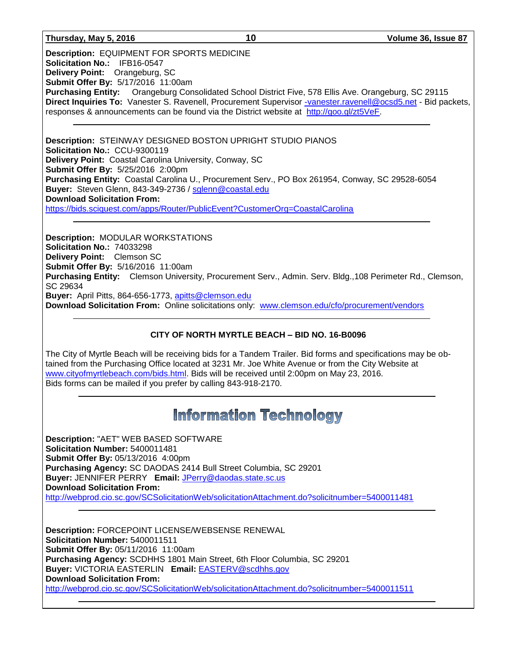## **Thursday, May 5, 2016 10 Volume 36, Issue 87**

**Description:** EQUIPMENT FOR SPORTS MEDICINE **Solicitation No.:** IFB16-0547 **Delivery Point:** Orangeburg, SC **Submit Offer By:** 5/17/2016 11:00am **Purchasing Entity:** Orangeburg Consolidated School District Five, 578 Ellis Ave. Orangeburg, SC 29115 **Direct Inquiries To:** Vanester S. Ravenell, Procurement Supervisor [-vanester.ravenell@ocsd5.net](mailto:-vanester.ravenell@ocsd5.net) - Bid packets, responses & announcements can be found via the District website at [http://goo.gl/zt5VeF.](http://goo.gl/zt5VeF)

**Description:** STEINWAY DESIGNED BOSTON UPRIGHT STUDIO PIANOS **Solicitation No.:** CCU-9300119 **Delivery Point:** Coastal Carolina University, Conway, SC **Submit Offer By:** 5/25/2016 2:00pm **Purchasing Entity:** Coastal Carolina U., Procurement Serv., PO Box 261954, Conway, SC 29528-6054 **Buyer:** Steven Glenn, 843-349-2736 / [sglenn@coastal.edu](mailto:sglenn@coastal.edu) **Download Solicitation From:** <https://bids.sciquest.com/apps/Router/PublicEvent?CustomerOrg=CoastalCarolina>

**Description:** MODULAR WORKSTATIONS **Solicitation No.:** 74033298 **Delivery Point:** Clemson SC **Submit Offer By:** 5/16/2016 11:00am **Purchasing Entity:** Clemson University, Procurement Serv., Admin. Serv. Bldg.,108 Perimeter Rd., Clemson, SC 29634 **Buyer:** April Pitts, 864-656-1773, [apitts@clemson.edu](mailto:apitts@clemson.edu) **Download Solicitation From:** Online solicitations only: [www.clemson.edu/cfo/procurement/vendors](http://www.clemson.edu/cfo/procurement/vendors)

# **CITY OF NORTH MYRTLE BEACH – BID NO. 16-B0096**

The City of Myrtle Beach will be receiving bids for a Tandem Trailer. Bid forms and specifications may be obtained from the Purchasing Office located at 3231 Mr. Joe White Avenue or from the City Website at [www.cityofmyrtlebeach.com/bids.html.](http://www.cityofmyrtlebeach.com/bids.html) Bids will be received until 2:00pm on May 23, 2016. Bids forms can be mailed if you prefer by calling 843-918-2170.

# **Information Technology**

**Description:** "AET" WEB BASED SOFTWARE **Solicitation Number:** 5400011481 **Submit Offer By:** 05/13/2016 4:00pm **Purchasing Agency:** SC DAODAS 2414 Bull Street Columbia, SC 29201 **Buyer:** JENNIFER PERRY **Email:** [JPerry@daodas.state.sc.us](mailto:JPerry@daodas.state.sc.us) **Download Solicitation From:**  <http://webprod.cio.sc.gov/SCSolicitationWeb/solicitationAttachment.do?solicitnumber=5400011481>

**Description:** FORCEPOINT LICENSE/WEBSENSE RENEWAL **Solicitation Number:** 5400011511 **Submit Offer By:** 05/11/2016 11:00am **Purchasing Agency:** SCDHHS 1801 Main Street, 6th Floor Columbia, SC 29201 **Buyer:** VICTORIA EASTERLIN **Email:** [EASTERV@scdhhs.gov](mailto:EASTERV@scdhhs.gov) **Download Solicitation From:**  <http://webprod.cio.sc.gov/SCSolicitationWeb/solicitationAttachment.do?solicitnumber=5400011511>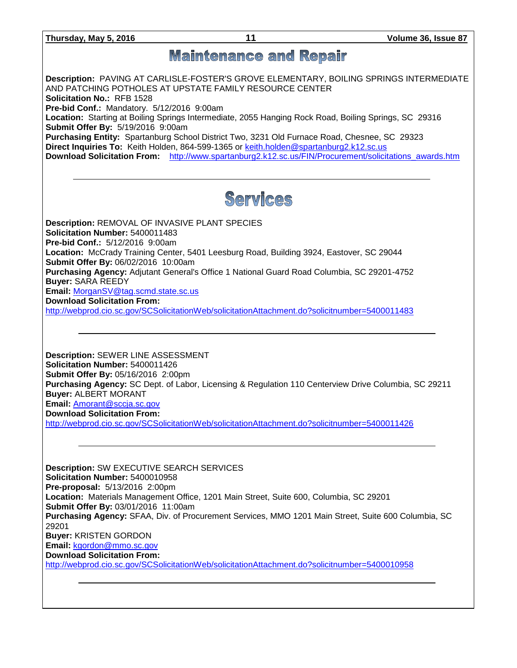**Thursday, May 5, 2016 11 Volume 36, Issue 87**

# **Maintenance and Repair**

**Description:** PAVING AT CARLISLE-FOSTER'S GROVE ELEMENTARY, BOILING SPRINGS INTERMEDIATE AND PATCHING POTHOLES AT UPSTATE FAMILY RESOURCE CENTER **Solicitation No.:** RFB 1528

**Pre-bid Conf.:** Mandatory. 5/12/2016 9:00am

**Location:** Starting at Boiling Springs Intermediate, 2055 Hanging Rock Road, Boiling Springs, SC 29316 **Submit Offer By:** 5/19/2016 9:00am

**Purchasing Entity:** Spartanburg School District Two, 3231 Old Furnace Road, Chesnee, SC 29323 **Direct Inquiries To:** Keith Holden, 864-599-1365 or [keith.holden@spartanburg2.k12.sc.us](mailto:keith.holden@spartanburg2.k12.sc.us) **Download Solicitation From:** [http://www.spartanburg2.k12.sc.us/FIN/Procurement/solicitations\\_awards.htm](http://www.spartanburg2.k12.sc.us/FIN/Procurement/solicitations_awards.htm)



**Description:** REMOVAL OF INVASIVE PLANT SPECIES **Solicitation Number:** 5400011483 **Pre-bid Conf.:** 5/12/2016 9:00am **Location:** McCrady Training Center, 5401 Leesburg Road, Building 3924, Eastover, SC 29044 **Submit Offer By:** 06/02/2016 10:00am **Purchasing Agency:** Adjutant General's Office 1 National Guard Road Columbia, SC 29201-4752 **Buyer:** SARA REEDY **Email:** [MorganSV@tag.scmd.state.sc.us](mailto:MorganSV@tag.scmd.state.sc.us) **Download Solicitation From:**  <http://webprod.cio.sc.gov/SCSolicitationWeb/solicitationAttachment.do?solicitnumber=5400011483>

**Description:** SEWER LINE ASSESSMENT **Solicitation Number:** 5400011426 **Submit Offer By:** 05/16/2016 2:00pm **Purchasing Agency:** SC Dept. of Labor, Licensing & Regulation 110 Centerview Drive Columbia, SC 29211 **Buyer:** ALBERT MORANT **Email:** [Amorant@sccja.sc.gov](mailto:Amorant@sccja.sc.gov) **Download Solicitation From:** 

<http://webprod.cio.sc.gov/SCSolicitationWeb/solicitationAttachment.do?solicitnumber=5400011426>

**Description:** SW EXECUTIVE SEARCH SERVICES **Solicitation Number:** 5400010958 **Pre-proposal:** 5/13/2016 2:00pm **Location:** Materials Management Office, 1201 Main Street, Suite 600, Columbia, SC 29201 **Submit Offer By:** 03/01/2016 11:00am **Purchasing Agency:** SFAA, Div. of Procurement Services, MMO 1201 Main Street, Suite 600 Columbia, SC 29201 **Buyer:** KRISTEN GORDON **Email:** [kgordon@mmo.sc.gov](mailto:kgordon@mmo.sc.gov) **Download Solicitation From:**  <http://webprod.cio.sc.gov/SCSolicitationWeb/solicitationAttachment.do?solicitnumber=5400010958>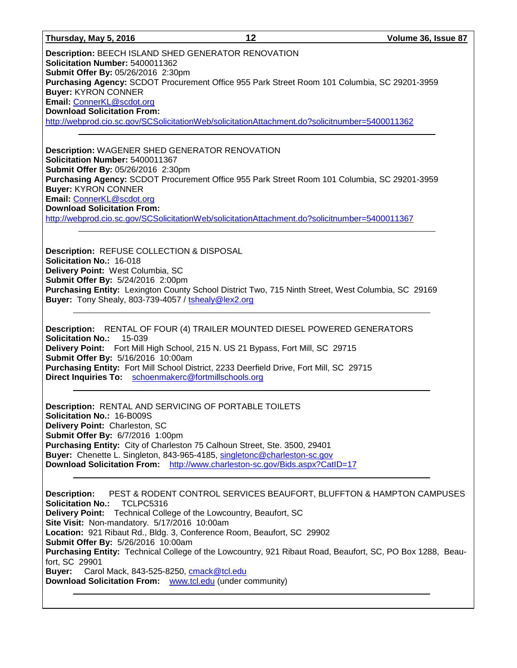**Description:** BEECH ISLAND SHED GENERATOR RENOVATION **Solicitation Number:** 5400011362 **Submit Offer By:** 05/26/2016 2:30pm **Purchasing Agency:** SCDOT Procurement Office 955 Park Street Room 101 Columbia, SC 29201-3959 **Buyer:** KYRON CONNER **Email:** [ConnerKL@scdot.org](mailto:ConnerKL@scdot.org) **Download Solicitation From:**  <http://webprod.cio.sc.gov/SCSolicitationWeb/solicitationAttachment.do?solicitnumber=5400011362>

**Description:** WAGENER SHED GENERATOR RENOVATION **Solicitation Number:** 5400011367 **Submit Offer By:** 05/26/2016 2:30pm **Purchasing Agency:** SCDOT Procurement Office 955 Park Street Room 101 Columbia, SC 29201-3959 **Buyer:** KYRON CONNER **Email:** [ConnerKL@scdot.org](mailto:ConnerKL@scdot.org) **Download Solicitation From:**  <http://webprod.cio.sc.gov/SCSolicitationWeb/solicitationAttachment.do?solicitnumber=5400011367>

**Description:** REFUSE COLLECTION & DISPOSAL **Solicitation No.:** 16-018 **Delivery Point:** West Columbia, SC **Submit Offer By:** 5/24/2016 2:00pm **Purchasing Entity:** Lexington County School District Two, 715 Ninth Street, West Columbia, SC 29169 **Buyer:** Tony Shealy, 803-739-4057 / [tshealy@lex2.org](mailto:tshealy@lex2.org)

**Description:** RENTAL OF FOUR (4) TRAILER MOUNTED DIESEL POWERED GENERATORS **Solicitation No.:** 15-039 **Delivery Point:** Fort Mill High School, 215 N. US 21 Bypass, Fort Mill, SC 29715 **Submit Offer By:** 5/16/2016 10:00am **Purchasing Entity:** Fort Mill School District, 2233 Deerfield Drive, Fort Mill, SC 29715 **Direct Inquiries To:** [schoenmakerc@fortmillschools.org](mailto:schoenmakerc@fortmillschools.org)

**Description:** RENTAL AND SERVICING OF PORTABLE TOILETS **Solicitation No.:** 16-B009S **Delivery Point:** Charleston, SC **Submit Offer By:** 6/7/2016 1:00pm **Purchasing Entity:** City of Charleston 75 Calhoun Street, Ste. 3500, 29401 **Buyer:** Chenette L. Singleton, 843-965-4185, [singletonc@charleston-sc.gov](mailto:singletonc@charleston-sc.gov) **Download Solicitation From:** <http://www.charleston-sc.gov/Bids.aspx?CatID=17>

**Description:** PEST & RODENT CONTROL SERVICES BEAUFORT, BLUFFTON & HAMPTON CAMPUSES **Solicitation No.:** TCLPC5316 **Delivery Point:** Technical College of the Lowcountry, Beaufort, SC **Site Visit:** Non-mandatory. 5/17/2016 10:00am **Location:** 921 Ribaut Rd., Bldg. 3, Conference Room, Beaufort, SC 29902 **Submit Offer By:** 5/26/2016 10:00am **Purchasing Entity:** Technical College of the Lowcountry, 921 Ribaut Road, Beaufort, SC, PO Box 1288, Beaufort, SC 29901 **Buyer:** Carol Mack, 843-525-8250, [cmack@tcl.edu](mailto:cmack@tcl.edu) **Download Solicitation From:** [www.tcl.edu](http://www.tcl.edu/) (under community)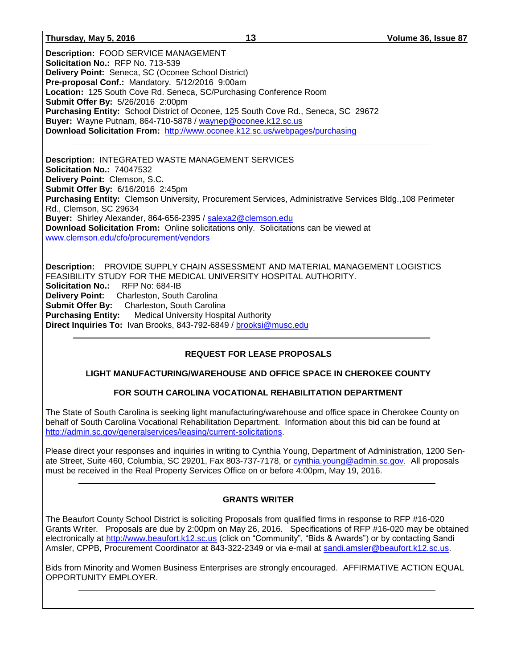## **Thursday, May 5, 2016 13 Volume 36, Issue 87**

**Description:** FOOD SERVICE MANAGEMENT **Solicitation No.:** RFP No. 713-539 **Delivery Point:** Seneca, SC (Oconee School District) **Pre-proposal Conf.:** Mandatory. 5/12/2016 9:00am **Location:** 125 South Cove Rd. Seneca, SC/Purchasing Conference Room **Submit Offer By:** 5/26/2016 2:00pm **Purchasing Entity:** School District of Oconee, 125 South Cove Rd., Seneca, SC 29672 **Buyer:** Wayne Putnam, 864-710-5878 / [waynep@oconee.k12.sc.us](mailto:waynep@oconee.k12.sc.us) **Download Solicitation From:** <http://www.oconee.k12.sc.us/webpages/purchasing>

**Description:** INTEGRATED WASTE MANAGEMENT SERVICES **Solicitation No.:** 74047532 **Delivery Point:** Clemson, S.C. **Submit Offer By:** 6/16/2016 2:45pm **Purchasing Entity:** Clemson University, Procurement Services, Administrative Services Bldg.,108 Perimeter Rd., Clemson, SC 29634 **Buyer:** Shirley Alexander, 864-656-2395 / [salexa2@clemson.edu](mailto:salexa2@clemson.edu) **Download Solicitation From:** Online solicitations only. Solicitations can be viewed at [www.clemson.edu/cfo/procurement/vendors](http://www.clemson.edu/cfo/procurement/vendors)

**Description:** PROVIDE SUPPLY CHAIN ASSESSMENT AND MATERIAL MANAGEMENT LOGISTICS FEASIBILITY STUDY FOR THE MEDICAL UNIVERSITY HOSPITAL AUTHORITY. **Solicitation No.:** RFP No: 684-IB **Delivery Point:** Charleston, South Carolina **Submit Offer By:** Charleston, South Carolina **Purchasing Entity:** Medical University Hospital Authority **Direct Inquiries To:** Ivan Brooks, 843-792-6849 / [brooksi@musc.edu](mailto:brooksi@musc.edu)

# **REQUEST FOR LEASE PROPOSALS**

# **LIGHT MANUFACTURING/WAREHOUSE AND OFFICE SPACE IN CHEROKEE COUNTY**

# **FOR SOUTH CAROLINA VOCATIONAL REHABILITATION DEPARTMENT**

The State of South Carolina is seeking light manufacturing/warehouse and office space in Cherokee County on behalf of South Carolina Vocational Rehabilitation Department. Information about this bid can be found at [http://admin.sc.gov/generalservices/leasing/current-solicitations.](http://admin.sc.gov/generalservices/leasing/current-solicitations)

Please direct your responses and inquiries in writing to Cynthia Young, Department of Administration, 1200 Senate Street, Suite 460, Columbia, SC 29201, Fax 803-737-7178, or [cynthia.young@admin.sc.gov.](mailto:cynthia.young@admin.sc.gov) All proposals must be received in the Real Property Services Office on or before 4:00pm, May 19, 2016.

# **GRANTS WRITER**

The Beaufort County School District is soliciting Proposals from qualified firms in response to RFP #16-020 Grants Writer. Proposals are due by 2:00pm on May 26, 2016. Specifications of RFP #16-020 may be obtained electronically at [http://www.beaufort.k12.sc.us](http://www.beaufort.k12.sc.us/) (click on "Community", "Bids & Awards") or by contacting Sandi Amsler, CPPB, Procurement Coordinator at 843-322-2349 or via e-mail at [sandi.amsler@beaufort.k12.sc.us.](mailto:sandi.amsler@beaufort.k12.sc.us)

Bids from Minority and Women Business Enterprises are strongly encouraged. AFFIRMATIVE ACTION EQUAL OPPORTUNITY EMPLOYER.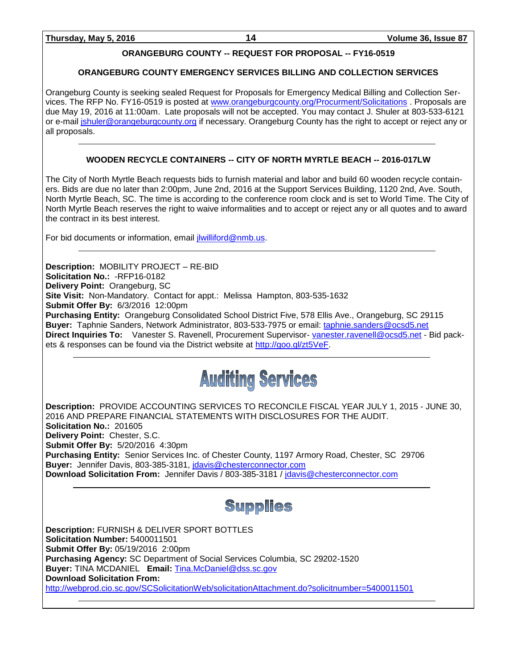# **ORANGEBURG COUNTY -- REQUEST FOR PROPOSAL -- FY16-0519**

# **ORANGEBURG COUNTY EMERGENCY SERVICES BILLING AND COLLECTION SERVICES**

Orangeburg County is seeking sealed Request for Proposals for Emergency Medical Billing and Collection Services. The RFP No. FY16-0519 is posted at [www.orangeburgcounty.org/Procurment/Solicitations](http://www.orangeburgcounty.org/Procurment/Solicitations) . Proposals are due May 19, 2016 at 11:00am. Late proposals will not be accepted. You may contact J. Shuler at 803-533-6121 or e-mail [jshuler@orangeburgcounty.org](mailto:jshuler@orangeburgcounty.org) if necessary. Orangeburg County has the right to accept or reject any or all proposals.

# **WOODEN RECYCLE CONTAINERS -- CITY OF NORTH MYRTLE BEACH -- 2016-017LW**

The City of North Myrtle Beach requests bids to furnish material and labor and build 60 wooden recycle containers. Bids are due no later than 2:00pm, June 2nd, 2016 at the Support Services Building, 1120 2nd, Ave. South, North Myrtle Beach, SC. The time is according to the conference room clock and is set to World Time. The City of North Myrtle Beach reserves the right to waive informalities and to accept or reject any or all quotes and to award the contract in its best interest.

For bid documents or information, email [jlwilliford@nmb.us.](mailto:jlwilliford@nmb.us)

**Description:** MOBILITY PROJECT – RE-BID **Solicitation No.:** -RFP16-0182 **Delivery Point:** Orangeburg, SC **Site Visit:** Non-Mandatory. Contact for appt.: Melissa Hampton, 803-535-1632 **Submit Offer By:** 6/3/2016 12:00pm **Purchasing Entity:** Orangeburg Consolidated School District Five, 578 Ellis Ave., Orangeburg, SC 29115 **Buyer:** Taphnie Sanders, Network Administrator, 803-533-7975 or email: [taphnie.sanders@ocsd5.net](mailto:taphnie.sanders@ocsd5.net) **Direct Inquiries To:** Vanester S. Ravenell, Procurement Supervisor- [vanester.ravenell@ocsd5.net](mailto:vanester.ravenell@ocsd5.net) - Bid packets & responses can be found via the District website at [http://goo.gl/zt5VeF.](http://goo.gl/zt5VeF)



**Description:** PROVIDE ACCOUNTING SERVICES TO RECONCILE FISCAL YEAR JULY 1, 2015 - JUNE 30, 2016 AND PREPARE FINANCIAL STATEMENTS WITH DISCLOSURES FOR THE AUDIT. **Solicitation No.:** 201605 **Delivery Point:** Chester, S.C. **Submit Offer By:** 5/20/2016 4:30pm **Purchasing Entity:** Senior Services Inc. of Chester County, 1197 Armory Road, Chester, SC 29706 **Buyer:** Jennifer Davis, 803-385-3181, [jdavis@chesterconnector.com](mailto:jdavis@chesterconnector.com) **Download Solicitation From:** Jennifer Davis / 803-385-3181 / [jdavis@chesterconnector.com](mailto:jdavis@chesterconnector.com)

**Supplies** 

**Description:** FURNISH & DELIVER SPORT BOTTLES **Solicitation Number:** 5400011501 **Submit Offer By:** 05/19/2016 2:00pm **Purchasing Agency:** SC Department of Social Services Columbia, SC 29202-1520 **Buyer:** TINA MCDANIEL **Email:** [Tina.McDaniel@dss.sc.gov](mailto:Tina.McDaniel@dss.sc.gov) **Download Solicitation From:**  <http://webprod.cio.sc.gov/SCSolicitationWeb/solicitationAttachment.do?solicitnumber=5400011501>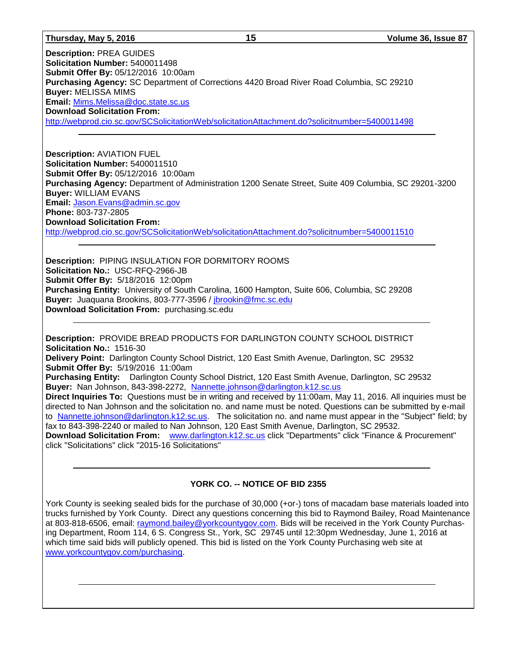### **Thursday, May 5, 2016 15 Volume 36, Issue 87**

**Description:** PREA GUIDES **Solicitation Number:** 5400011498 **Submit Offer By:** 05/12/2016 10:00am **Purchasing Agency:** SC Department of Corrections 4420 Broad River Road Columbia, SC 29210 **Buyer:** MELISSA MIMS **Email:** [Mims.Melissa@doc.state.sc.us](mailto:Mims.Melissa@doc.state.sc.us) **Download Solicitation From:**  <http://webprod.cio.sc.gov/SCSolicitationWeb/solicitationAttachment.do?solicitnumber=5400011498>

**Description:** AVIATION FUEL **Solicitation Number:** 5400011510 **Submit Offer By:** 05/12/2016 10:00am **Purchasing Agency:** Department of Administration 1200 Senate Street, Suite 409 Columbia, SC 29201-3200 **Buyer:** WILLIAM EVANS **Email:** [Jason.Evans@admin.sc.gov](mailto:Jason.Evans@admin.sc.gov) **Phone:** 803-737-2805 **Download Solicitation From:**  <http://webprod.cio.sc.gov/SCSolicitationWeb/solicitationAttachment.do?solicitnumber=5400011510>

**Description:** PIPING INSULATION FOR DORMITORY ROOMS **Solicitation No.:** USC-RFQ-2966-JB **Submit Offer By:** 5/18/2016 12:00pm **Purchasing Entity:** University of South Carolina, 1600 Hampton, Suite 606, Columbia, SC 29208 **Buyer:** Juaquana Brookins, 803-777-3596 / [jbrookin@fmc.sc.edu](mailto:jbrookin@fmc.sc.edu) **Download Solicitation From:** purchasing.sc.edu

**Description:** PROVIDE BREAD PRODUCTS FOR DARLINGTON COUNTY SCHOOL DISTRICT **Solicitation No.:** 1516-30 **Delivery Point:** Darlington County School District, 120 East Smith Avenue, Darlington, SC 29532 **Submit Offer By:** 5/19/2016 11:00am **Purchasing Entity:** Darlington County School District, 120 East Smith Avenue, Darlington, SC 29532 **Buyer:** Nan Johnson, 843-398-2272, [Nannette.johnson@darlington.k12.sc.us](mailto:Nannette.johnson@darlington.k12.sc.us) **Direct Inquiries To:** Questions must be in writing and received by 11:00am, May 11, 2016. All inquiries must be directed to Nan Johnson and the solicitation no. and name must be noted. Questions can be submitted by e-mail to [Nannette.johnson@darlington.k12.sc.us.](mailto:Nannette.johnson@darlington.k12.sc.us) The solicitation no. and name must appear in the "Subject" field; by fax to 843-398-2240 or mailed to Nan Johnson, 120 East Smith Avenue, Darlington, SC 29532. **Download Solicitation From:** [www.darlington.k12.sc.us](http://www.darlington.k12.sc.us/) click "Departments" click "Finance & Procurement" click "Solicitations" click "2015-16 Solicitations"

# **YORK CO. -- NOTICE OF BID 2355**

York County is seeking sealed bids for the purchase of 30,000 (+or-) tons of macadam base materials loaded into trucks furnished by York County. Direct any questions concerning this bid to Raymond Bailey, Road Maintenance at 803-818-6506, email: [raymond.bailey@yorkcountygov.com.](mailto:raymond.bailey@yorkcountygov.com) Bids will be received in the York County Purchasing Department, Room 114, 6 S. Congress St., York, SC 29745 until 12:30pm Wednesday, June 1, 2016 at which time said bids will publicly opened. This bid is listed on the York County Purchasing web site at [www.yorkcountygov.com/purchasing.](http://www.yorkcountygov.com/purchasing)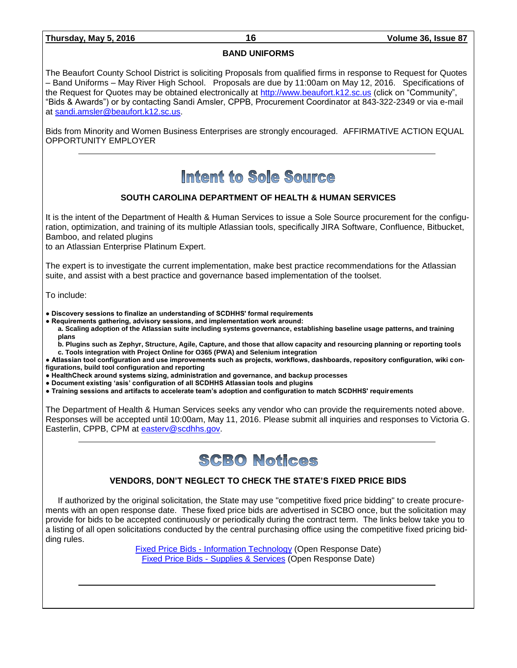# **BAND UNIFORMS**

The Beaufort County School District is soliciting Proposals from qualified firms in response to Request for Quotes – Band Uniforms – May River High School. Proposals are due by 11:00am on May 12, 2016. Specifications of the Request for Quotes may be obtained electronically at [http://www.beaufort.k12.sc.us](http://www.beaufort.k12.sc.us/) (click on "Community", "Bids & Awards") or by contacting Sandi Amsler, CPPB, Procurement Coordinator at 843-322-2349 or via e-mail at [sandi.amsler@beaufort.k12.sc.us.](mailto:sandi.amsler@beaufort.k12.sc.us)

Bids from Minority and Women Business Enterprises are strongly encouraged. AFFIRMATIVE ACTION EQUAL OPPORTUNITY EMPLOYER

# Intent to Sole Source

# **SOUTH CAROLINA DEPARTMENT OF HEALTH & HUMAN SERVICES**

It is the intent of the Department of Health & Human Services to issue a Sole Source procurement for the configuration, optimization, and training of its multiple Atlassian tools, specifically JIRA Software, Confluence, Bitbucket, Bamboo, and related plugins

to an Atlassian Enterprise Platinum Expert.

The expert is to investigate the current implementation, make best practice recommendations for the Atlassian suite, and assist with a best practice and governance based implementation of the toolset.

To include:

**● Discovery sessions to finalize an understanding of SCDHHS' formal requirements**

**● Requirements gathering, advisory sessions, and implementation work around:**

**a. Scaling adoption of the Atlassian suite including systems governance, establishing baseline usage patterns, and training plans**

**b. Plugins such as Zephyr, Structure, Agile, Capture, and those that allow capacity and resourcing planning or reporting tools c. Tools integration with Project Online for O365 (PWA) and Selenium integration**

**● Atlassian tool configuration and use improvements such as projects, workflows, dashboards, repository configuration, wiki configurations, build tool configuration and reporting**

**● HealthCheck around systems sizing, administration and governance, and backup processes**

**● Document existing 'asis' configuration of all SCDHHS Atlassian tools and plugins**

**● Training sessions and artifacts to accelerate team's adoption and configuration to match SCDHHS' requirements**

The Department of Health & Human Services seeks any vendor who can provide the requirements noted above. Responses will be accepted until 10:00am, May 11, 2016. Please submit all inquiries and responses to Victoria G. Easterlin, CPPB, CPM at [easterv@scdhhs.gov.](mailto:easterv@scdhhs.gov)

# **SCBO Notices**

# **VENDORS, DON'T NEGLECT TO CHECK THE STATE'S FIXED PRICE BIDS**

If authorized by the original solicitation, the State may use "competitive fixed price bidding" to create procurements with an open response date. These fixed price bids are advertised in SCBO once, but the solicitation may provide for bids to be accepted continuously or periodically during the contract term. The links below take you to a listing of all open solicitations conducted by the central purchasing office using the competitive fixed pricing bidding rules.

> Fixed Price Bids - [Information Technology](http://www.mmo.sc.gov/PS/vendor/PS-vendor-fixed-price-bids-it.phtm) (Open Response Date) Fixed Price Bids - [Supplies & Services](http://www.mmo.sc.gov/PS/vendor/PS-vendor-fixed-price-bids-ss.phtm) (Open Response Date)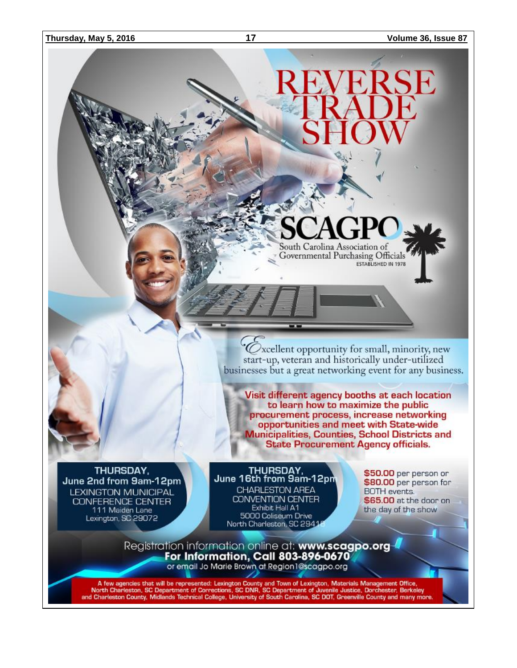### **Thursday, May 5, 2016 17 Volume 36, Issue 87**

 $\mathcal O$  xcellent opportunity for small, minority, new start-up, veteran and historically under-utilized businesses but a great networking event for any business.

South Carolina Association of Governmental Purchasing Officials

ESTABLISHED IN 1978

Visit different agency booths at each location to learn how to maximize the public procurement process, increase networking opportunities and meet with State-wide **Municipalities, Counties, School Districts and State Procurement Agency officials.** 

THURSDAY. June 2nd from 9am-12pm **LEXINGTON MUNICIPAL** CONFERENCE CENTER 111 Maiden Lane Lexington, SC 29072

THURSDAY, June 16th from 9am-12pm CHARLESTON AREA **CONVENTION CENTER** Exhibit Hall A1 5000 Coliseum Drive North Charleston, SC 2941

\$50.00 per person or \$80.00 per person for **BOTH** events. \$65.00 at the door on the day of the show

Registration information online at: www.scagpo.org-For Information, Call 803-896-0670 or email Jo Marie Brown at Region1@scagpo.org

A few agencies that will be represented: Lexington County and Town of Lexington, Materials Management Office,<br>North Charleston, SC Department of Corrections, SC DNR, SC Department of Juvenile Justice, Dorchester, Berkeley<br>